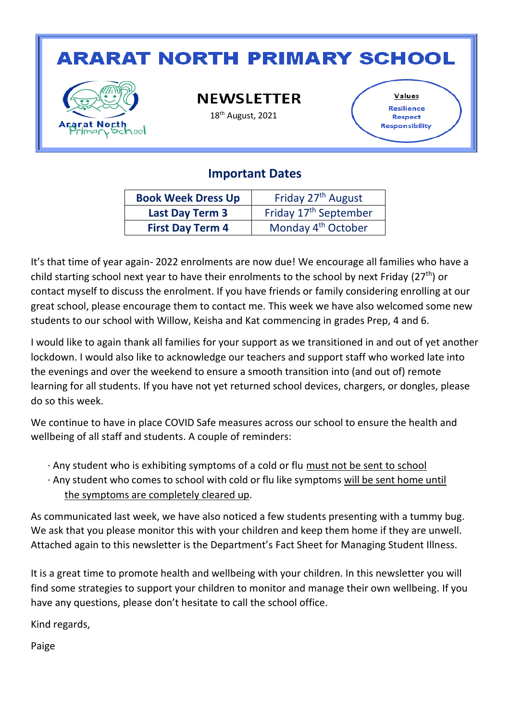# **ARARAT NORTH PRIMARY SCHOOL**



**NEWSLETTER** 

18th August, 2021

**Values** Resilience **Respect** Responsibility

### **Important Dates**

| <b>Book Week Dress Up</b> | Friday 27 <sup>th</sup> August    |  |
|---------------------------|-----------------------------------|--|
| <b>Last Day Term 3</b>    | Friday 17 <sup>th</sup> September |  |
| <b>First Day Term 4</b>   | Monday 4 <sup>th</sup> October    |  |

It's that time of year again- 2022 enrolments are now due! We encourage all families who have a child starting school next year to have their enrolments to the school by next Friday ( $27<sup>th</sup>$ ) or contact myself to discuss the enrolment. If you have friends or family considering enrolling at our great school, please encourage them to contact me. This week we have also welcomed some new students to our school with Willow, Keisha and Kat commencing in grades Prep, 4 and 6.

I would like to again thank all families for your support as we transitioned in and out of yet another lockdown. I would also like to acknowledge our teachers and support staff who worked late into the evenings and over the weekend to ensure a smooth transition into (and out of) remote learning for all students. If you have not yet returned school devices, chargers, or dongles, please do so this week.

We continue to have in place COVID Safe measures across our school to ensure the health and wellbeing of all staff and students. A couple of reminders:

- · Any student who is exhibiting symptoms of a cold or flu must not be sent to school
- · Any student who comes to school with cold or flu like symptoms will be sent home until the symptoms are completely cleared up.

As communicated last week, we have also noticed a few students presenting with a tummy bug. We ask that you please monitor this with your children and keep them home if they are unwell. Attached again to this newsletter is the Department's Fact Sheet for Managing Student Illness.

It is a great time to promote health and wellbeing with your children. In this newsletter you will find some strategies to support your children to monitor and manage their own wellbeing. If you have any questions, please don't hesitate to call the school office.

Kind regards,

Paige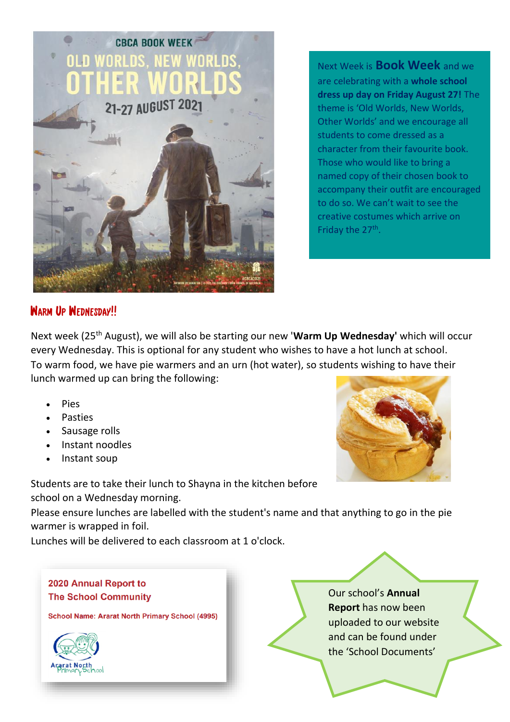

Next Week is **Book Week** and we are celebrating with a **whole school dress up day on Friday August 27!** The theme is 'Old Worlds, New Worlds, Other Worlds' and we encourage all students to come dressed as a character from their favourite book. Those who would like to bring a named copy of their chosen book to accompany their outfit are encouraged to do so. We can't wait to see the creative costumes which arrive on Friday the 27<sup>th</sup>.

### WARM UP WEDNESDAY!!

Next week (25th August), we will also be starting our new '**Warm Up Wednesday'** which will occur every Wednesday. This is optional for any student who wishes to have a hot lunch at school. To warm food, we have pie warmers and an urn (hot water), so students wishing to have their lunch warmed up can bring the following:

- **Pies**
- **Pasties**
- Sausage rolls
- Instant noodles
- Instant soup

Students are to take their lunch to Shayna in the kitchen before school on a Wednesday morning.

Please ensure lunches are labelled with the student's name and that anything to go in the pie warmer is wrapped in foil.

Lunches will be delivered to each classroom at 1 o'clock.

#### 2020 Annual Report to **The School Community**

**School Name: Ararat North Primary School (4995)** 



Our school's **Annual Report** has now been uploaded to our website and can be found under the 'School Documents'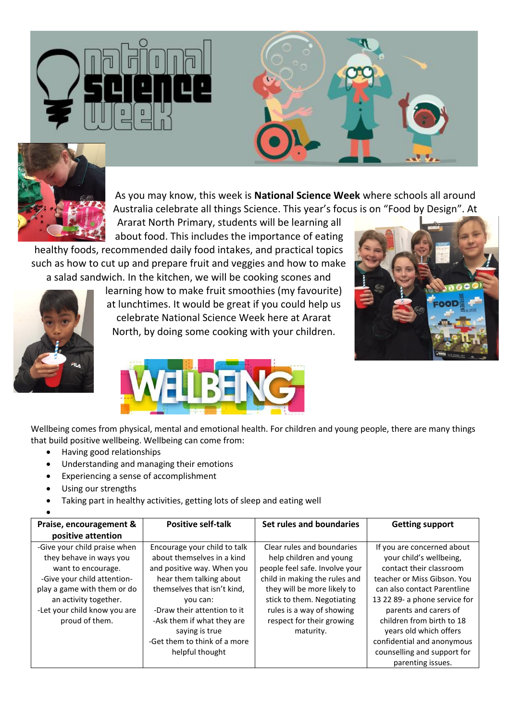



As you may know, this week is **National Science Week** where schools all around Australia celebrate all things Science. This year's focus is on "Food by Design". At

Ararat North Primary, students will be learning all about food. This includes the importance of eating

healthy foods, recommended daily food intakes, and practical topics such as how to cut up and prepare fruit and veggies and how to make a salad sandwich. In the kitchen, we will be cooking scones and



learning how to make fruit smoothies (my favourite) at lunchtimes. It would be great if you could help us celebrate National Science Week here at Ararat North, by doing some cooking with your children.





Wellbeing comes from physical, mental and emotional health. For children and young people, there are many things that build positive wellbeing. Wellbeing can come from:

- Having good relationships
- Understanding and managing their emotions
- Experiencing a sense of accomplishment
- Using our strengths
- Taking part in healthy activities, getting lots of sleep and eating well

| Praise, encouragement &      | <b>Positive self-talk</b>    | Set rules and boundaries       | <b>Getting support</b>        |
|------------------------------|------------------------------|--------------------------------|-------------------------------|
| positive attention           |                              |                                |                               |
| -Give your child praise when | Encourage your child to talk | Clear rules and boundaries     | If you are concerned about    |
| they behave in ways you      | about themselves in a kind   | help children and young        | your child's wellbeing,       |
| want to encourage.           | and positive way. When you   | people feel safe. Involve your | contact their classroom       |
| -Give your child attention-  | hear them talking about      | child in making the rules and  | teacher or Miss Gibson. You   |
| play a game with them or do  | themselves that isn't kind,  | they will be more likely to    | can also contact Parentline   |
| an activity together.        | you can:                     | stick to them. Negotiating     | 13 22 89- a phone service for |
| -Let your child know you are | -Draw their attention to it  | rules is a way of showing      | parents and carers of         |
| proud of them.               | -Ask them if what they are   | respect for their growing      | children from birth to 18     |
|                              | saying is true               | maturity.                      | years old which offers        |
|                              | -Get them to think of a more |                                | confidential and anonymous    |
|                              | helpful thought              |                                | counselling and support for   |
|                              |                              |                                | parenting issues.             |